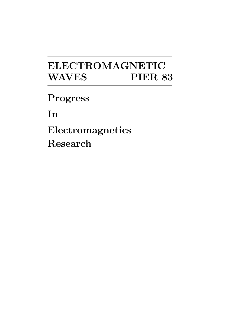# **ELECTROMAGNETIC WAVES PIER 83**

**Progress**

**In**

**Electromagnetics Research**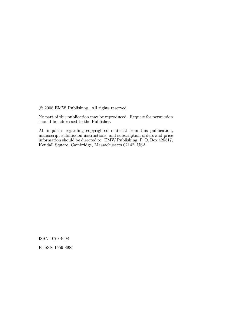c 2008 EMW Publishing. All rights reserved.

No part of this publication may be reproduced. Request for permission should be addressed to the Publisher.

All inquiries regarding copyrighted material from this publication, manuscript submission instructions, and subscription orders and price information should be directed to: EMW Publishing, P. O. Box 425517, Kendall Square, Cambridge, Massachusetts 02142, USA.

ISSN 1070-4698

E-ISSN 1559-8985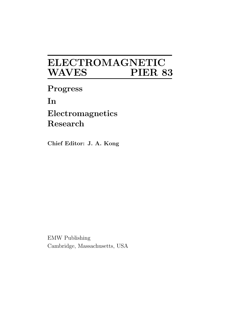## **ELECTROMAGNETIC**  $\bf WAVES$

**Progress**

**In**

**Electromagnetics Research**

**Chief Editor: J. A. Kong** 

EMW Publishing Cambridge, Massachusetts, USA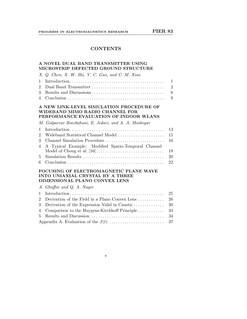## **CONTENTS**

## **A NOVEL DUAL BAND TRANSMITTER USING MICROSTRIP DEFECTED GROUND STRUCTURE**

|                | X. Q. Chen, X. W. Shi, Y. C. Guo, and C. M. Xiao                                                                                          |                |
|----------------|-------------------------------------------------------------------------------------------------------------------------------------------|----------------|
| 1              |                                                                                                                                           | $\mathbf{1}$   |
| $\overline{2}$ |                                                                                                                                           | $\overline{2}$ |
| 3              |                                                                                                                                           | 6              |
| 4              |                                                                                                                                           | 9              |
|                | A NEW LINK-LEVEL SIMULATION PROCEDURE OF<br>WIDEBAND MIMO RADIO CHANNEL FOR<br>PERFORMANCE EVALUATION OF INDOOR WLANS                     |                |
|                | M. Golparvar Roozbahani, E. Jedari, and A. A. Shishegar                                                                                   |                |
| 1              |                                                                                                                                           | 13             |
| $\overline{2}$ | Wideband Statistical Channel Model                                                                                                        | 15             |
| 3              | Channel Simulation Procedure                                                                                                              | 16             |
| 4              | A Typical Example: Modified Spatio-Temporal Channel                                                                                       | 18             |
| 5              |                                                                                                                                           | 20             |
| 6              |                                                                                                                                           | 22             |
|                | FOCUSING OF ELECTROMAGNETIC PLANE WAVE<br>INTO UNIAXIAL CRYSTAL BY A THREE<br>DIMENSIONAL PLANO CONVEX LENS<br>A. Ghaffar and Q. A. Naqvi |                |
|                |                                                                                                                                           | 25             |
| 1<br>2         | Derivation of the Field in a Plano Convex Lens                                                                                            | 26             |
| 3              | Derivation of the Expression Valid in Caustic                                                                                             | 30             |
| 4              | Comparison to the Huygens-Kirchhoff Principle                                                                                             | 33             |
| 5              |                                                                                                                                           | 34             |
|                |                                                                                                                                           | 37             |
|                |                                                                                                                                           |                |

v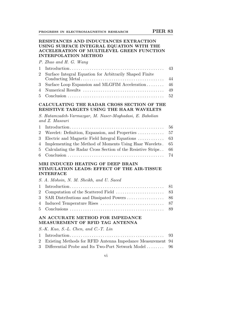#### **RESISTANCES AND INDUCTANCES EXTRACTION USING SURFACE INTEGRAL EQUATION WITH THE ACCELERATION OF MULTILEVEL GREEN FUNCTION INTERPOLATION METHOD**

P. Zhao and H. G. Wang

| 2 Surface Integral Equation for Arbitrarily Shaped Finite |  |
|-----------------------------------------------------------|--|
|                                                           |  |
| 3 Surface Loop Expansion and MLGFIM Acceleration  46      |  |
|                                                           |  |
|                                                           |  |

## **CALCULATING THE RADAR CROSS SECTION OF THE RESISTIVE TARGETS USING THE HAAR WAVELETS**

S. Hatamzadeh-Varmazyar, M. Naser-Moghadasi, E. Babolian and Z. Masouri

| 4 Implementing the Method of Moments Using Haar Wavelets. 65  |      |
|---------------------------------------------------------------|------|
| 5 Calculating the Radar Cross Section of the Resistive Strips | - 66 |
|                                                               |      |

## **MRI INDUCED HEATING OF DEEP BRAIN STIMULATION LEADS: EFFECT OF THE AIR-TISSUE INTERFACE**

| S. A. Mohsin, N. M. Sheikh, and U. Saeed |  |
|------------------------------------------|--|
|                                          |  |
|                                          |  |
|                                          |  |
|                                          |  |
|                                          |  |

### **AN ACCURATE METHOD FOR IMPEDANCE MEASUREMENT OF RFID TAG ANTENNA**

S.-K. Kuo, S.-L. Chen, and C.-T. Lin

| 2 Existing Methods for RFID Antenna Impedance Measurement 94 |  |
|--------------------------------------------------------------|--|
| 3 Differential Probe and Its Two-Port Network Model  96      |  |

vi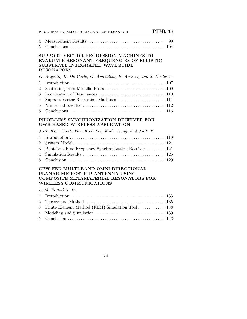|             | <b>PIER 83</b><br>PROGRESS IN ELECTROMAGNETICS RESEARCH                                                                                                                          |                          |
|-------------|----------------------------------------------------------------------------------------------------------------------------------------------------------------------------------|--------------------------|
| 4<br>5      | $Conclusions \ldots \ldots \ldots \ldots \ldots \ldots \ldots \ldots \ldots \ldots \ldots \ldots \ldots$                                                                         | 99<br>104                |
|             | SUPPORT VECTOR REGRESSION MACHINES TO<br>EVALUATE RESONANT FREQUENCIES OF ELLIPTIC<br>SUBSTRATE INTEGRATED WAVEGUIDE<br><b>RESONATORS</b>                                        |                          |
|             | G. Angiulli, D. De Carlo, G. Amendola, E. Arnieri, and S. Costanzo                                                                                                               |                          |
| 1<br>2<br>3 | Localization of Resonances<br>Support Vector Regression Machines                                                                                                                 | 107<br>109<br>110<br>111 |
| 4<br>5<br>6 |                                                                                                                                                                                  | 112<br>116               |
|             | PILOT-LESS SYNCHRONIZATION RECEIVER FOR<br><b>UWB-BASED WIRELESS APPLICATION</b>                                                                                                 |                          |
|             | J.-H. Kim, Y.-H. You, K.-I. Lee, K.-S. Jeong, and J.-H. Yi                                                                                                                       |                          |
| 1           |                                                                                                                                                                                  | 119                      |
| 2           |                                                                                                                                                                                  | 121                      |
| 3           | Pilot-Less Fine Frequency Synchronization Receiver                                                                                                                               | 121<br>125               |
| 4<br>5      | $Conclusion \dots \dots \dots \dots \dots \dots \dots \dots \dots \dots \dots \dots \dots \dots \dots$                                                                           | 129                      |
|             | CPW-FED MULTI-BAND OMNI-DIRECTIONAL<br>PLANAR MICROSTRIP ANTENNA USING<br><b>COMPOSITE METAMATERIAL RESONATORS FOR</b><br><b>WIRELESS COMMUNICATIONS</b><br>$L.-M.$ Si and X. Lv |                          |
| 1           |                                                                                                                                                                                  | 133                      |
| 2           |                                                                                                                                                                                  | 135                      |
| 3           | Finite Element Method (FEM) Simulation Tool 138                                                                                                                                  |                          |
| 4<br>5      |                                                                                                                                                                                  | 143                      |
|             |                                                                                                                                                                                  |                          |

vii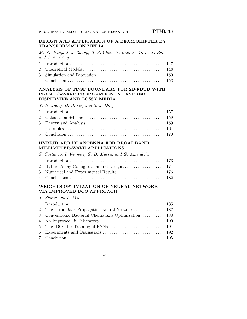#### **DESIGN AND APPLICATION OF A BEAM SHIFTER BY TRANSFORMATION MEDIA**

M. Y. Wang, J. J. Zhang, H. S. Chen, Y. Luo, S. Xi, L. X. Ran and J. A. Kong

#### **ANALYSIS OF TF-SF BOUNDARY FOR 2D-FDTD WITH PLANE** P**-WAVE PROPAGATION IN LAYERED DISPERSIVE AND LOSSY MEDIA**

|  | Y.-N. Jiang, D.-B. Ge, and S.-J. Ding |  |  |  |
|--|---------------------------------------|--|--|--|
|  |                                       |  |  |  |

## **HYBRID ARRAY ANTENNA FOR BROADBAND MILLIMETER-WAVE APPLICATIONS**

| S. Costanzo, I. Venneri, G. Di Massa, and G. Amendola |  |
|-------------------------------------------------------|--|
|                                                       |  |
|                                                       |  |
|                                                       |  |
|                                                       |  |

## **WEIGHTS OPTIMIZATION OF NEURAL NETWORK VIA IMPROVED BCO APPROACH**

| Y. Zhang and L. Wu                                    |  |
|-------------------------------------------------------|--|
|                                                       |  |
|                                                       |  |
| 3 Conventional Bacterial Chemotaxis Optimization  188 |  |
|                                                       |  |
|                                                       |  |
|                                                       |  |
|                                                       |  |

viii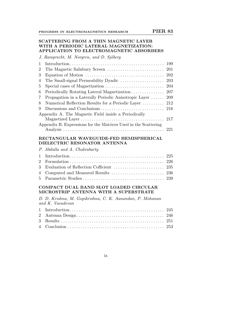## **SCATTERING FROM A THIN MAGNETIC LAYER WITH A PERIODIC LATERAL MAGNETIZATION: APPLICATION TO ELECTROMAGNETIC ABSORBERS**

J. Ramprecht, M. Norgren, and D. Sjöberg

| $\overline{2}$ |                                                                 |      |
|----------------|-----------------------------------------------------------------|------|
| 3              |                                                                 |      |
| 4              |                                                                 |      |
| 5              |                                                                 |      |
| 6              |                                                                 |      |
| 7              | Propagation in a Laterally Periodic Anisotropic Layer           | -209 |
| 8              | Numerical Reflection Results for a Periodic Layer  212          |      |
| 9              |                                                                 |      |
|                | Appendix A. The Magnetic Field inside a Periodically            |      |
|                |                                                                 |      |
|                | Appendix B. Expressions for the Matrices Used in the Scattering |      |
|                |                                                                 |      |

## **RECTANGULAR WAVEGUIDE-FED HEMISPHERICAL DIELECTRIC RESONATOR ANTENNA**

| P. Abdulla and A. Chakrabarty |  |
|-------------------------------|--|
|                               |  |
|                               |  |
|                               |  |
|                               |  |
|                               |  |

## **COMPACT DUAL BAND SLOT LOADED CIRCULAR MICROSTRIP ANTENNA WITH A SUPERSTRATE**

D. D. Krishna, M. Gopikrishna, C. K. Aanandan, P. Mohanan and K. Vasudevan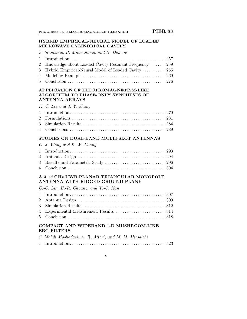#### **HYBRID EMPIRICAL-NEURAL MODEL OF LOADED MICROWAVE CYLINDRICAL CAVITY**

Z. Stanković, B. Milovanović, and N. Dončov

| 2 Knowledge about Loaded Cavity Resonant Frequency  259 |  |
|---------------------------------------------------------|--|
| 3 Hybrid Empirical-Neural Model of Loaded Cavity  265   |  |
|                                                         |  |
|                                                         |  |

### **APPLICATION OF ELECTROMAGNETISM-LIKE ALGORITHM TO PHASE-ONLY SYNTHESES OF ANTENNA ARRAYS**

| K. C. Lee and J. Y. Jhang |  |  |  |  |  |  |  |
|---------------------------|--|--|--|--|--|--|--|
|---------------------------|--|--|--|--|--|--|--|

#### **STUDIES ON DUAL-BAND MULTI-SLOT ANTENNAS**

| $C.-J.$ Wang and S.-W. Chang |  |
|------------------------------|--|
|                              |  |
|                              |  |
|                              |  |
|                              |  |

### **A 3–12 GHz UWB PLANAR TRIANGULAR MONOPOLE ANTENNA WITH RIDGED GROUND-PLANE**

C.-C. Lin, H.-R. Chuang, and Y.-C. Kan

## **COMPACT AND WIDEBAND 1-D MUSHROOM-LIKE EBG FILTERS**

| S. Mahdi Moghadasi, A. R. Attari, and M. M. Mirsalehi |  |
|-------------------------------------------------------|--|
|                                                       |  |

#### x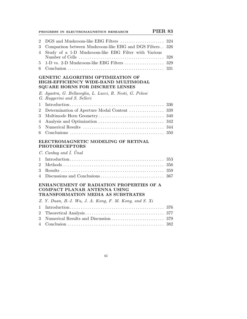| <b>PIER 83</b><br>PROGRESS IN ELECTROMAGNETICS RESEARCH                                                                                                                          |     |
|----------------------------------------------------------------------------------------------------------------------------------------------------------------------------------|-----|
| DGS and Mushroom-like EBG Filters<br>$\overline{2}$                                                                                                                              | 324 |
| Comparison between Mushroom-like EBG and DGS Filters $\,$<br>3                                                                                                                   | 326 |
| Study of a 1-D Mushroom-like EBG Filter with Various<br>$\overline{4}$                                                                                                           | 328 |
| 1-D vs. 2-D Mushroom-like EBG Filters<br>5                                                                                                                                       | 329 |
| 6                                                                                                                                                                                | 331 |
| <b>GENETIC ALGORITHM OPTIMIZATION OF</b><br>HIGH-EFFICIENCY WIDE-BAND MULTIMODAL<br>SQUARE HORNS FOR DISCRETE LENSES                                                             |     |
| E. Agastra, G. Bellaveglia, L. Lucci, R. Nesti, G. Pelosi<br>G. Ruggerini and S. Selleri                                                                                         |     |
| 1                                                                                                                                                                                | 336 |
| $\overline{2}$<br>Determination of Aperture Modal Content                                                                                                                        | 339 |
| 3<br>Multimode Horn Geometry                                                                                                                                                     | 340 |
| $\overline{4}$                                                                                                                                                                   | 342 |
| 5                                                                                                                                                                                | 344 |
| 6<br>$Conclusions \dots \dots \dots \dots \dots \dots \dots \dots \dots \dots \dots \dots \dots \dots$                                                                           | 350 |
| ELECTROMAGNETIC MODELING OF RETINAL<br><b>PHOTORECEPTORS</b>                                                                                                                     |     |
| $C.$ Canbay and $\dot{I}$ . Unal                                                                                                                                                 |     |
| 1                                                                                                                                                                                | 353 |
| $\overline{2}$                                                                                                                                                                   | 356 |
| 3                                                                                                                                                                                |     |
| 4                                                                                                                                                                                | 367 |
| ENHANCEMENT OF RADIATION PROPERTIES OF A<br><b>COMPACT PLANAR ANTENNA USING</b><br>TRANSFORMATION MEDIA AS SUBSTRATES<br>Z. Y. Duan, B.-I. Wu, J. A. Kong, F. M. Kong, and S. Xi |     |
|                                                                                                                                                                                  |     |

xi